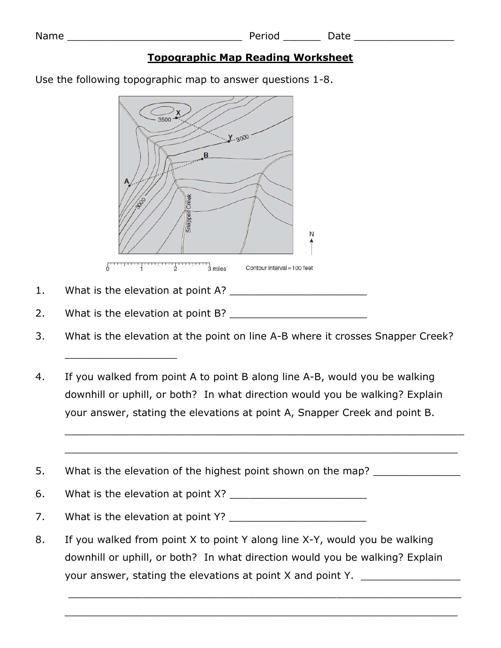| Т.<br>J<br>п |  | ⊐ |  |  |  |
|--------------|--|---|--|--|--|
|--------------|--|---|--|--|--|

## **Topographic Map Reading Worksheet**

Period Date Date and Date and Date and Date and Date and Date and Date and Date and Date and Date and Date and

Use the following topographic map to answer questions 1-8.



1. What is the elevation at point A? \_\_\_\_\_\_\_\_\_\_\_\_\_\_\_\_\_\_\_\_\_\_

\_\_\_\_\_\_\_\_\_\_\_\_\_\_\_\_\_\_

2. What is the elevation at point B?

- 3. What is the elevation at the point on line A-B where it crosses Snapper Creek?
- 4. If you walked from point A to point B along line A-B, would you be walking downhill or uphill, or both? In what direction would you be walking? Explain your answer, stating the elevations at point A, Snapper Creek and point B.

\_\_\_\_\_\_\_\_\_\_\_\_\_\_\_\_\_\_\_\_\_\_\_\_\_\_\_\_\_\_\_\_\_\_\_\_\_\_\_\_\_\_\_\_\_\_\_\_\_\_\_\_\_\_\_\_\_\_\_\_\_\_\_\_

\_\_\_\_\_\_\_\_\_\_\_\_\_\_\_\_\_\_\_\_\_\_\_\_\_\_\_\_\_\_\_\_\_\_\_\_\_\_\_\_\_\_\_\_\_\_\_\_\_\_\_\_\_\_\_\_\_\_\_\_\_\_\_

5. What is the elevation of the highest point shown on the map? \_\_\_\_\_\_\_\_\_\_\_\_\_\_\_\_

6. What is the elevation at point X? \_\_\_\_\_\_\_\_\_\_\_\_\_\_\_\_\_\_\_\_\_\_

7. What is the elevation at point Y? \_\_\_\_\_\_\_\_\_\_\_\_\_\_\_\_\_\_\_\_\_\_

8. If you walked from point X to point Y along line X-Y, would you be walking downhill or uphill, or both? In what direction would you be walking? Explain your answer, stating the elevations at point X and point Y.

\_\_\_\_\_\_\_\_\_\_\_\_\_\_\_\_\_\_\_\_\_\_\_\_\_\_\_\_\_\_\_\_\_\_\_\_\_\_\_\_\_\_\_\_\_\_\_\_\_\_\_\_\_\_\_\_\_\_\_\_\_\_\_

\_\_\_\_\_\_\_\_\_\_\_\_\_\_\_\_\_\_\_\_\_\_\_\_\_\_\_\_\_\_\_\_\_\_\_\_\_\_\_\_\_\_\_\_\_\_\_\_\_\_\_\_\_\_\_\_\_\_\_\_\_\_\_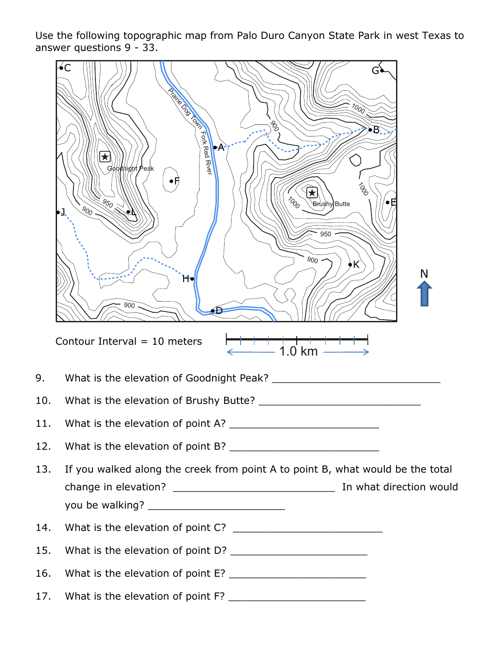Use the following topographic map from Palo Duro Canyon State Park in west Texas to answer questions 9 - 33.